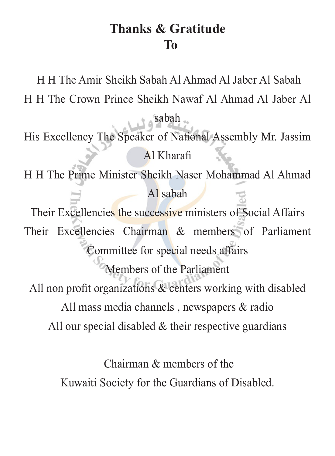#### **Gratitude & Thanks To**

H H The Amir Sheikh Sabah Al Ahmad Al Jaber Al Sabah H H The Crown Prince Sheikh Nawaf Al Ahmad Al Jaber Al sabah

- His Excellency The Speaker of National Assembly Mr. Jassim Al Kharafi
- H H The Prime Minister Sheikh Naser Mohammad Al Ahmad  $Al$  sabah

Their Excellencies the successive ministers of Social Affairs Their Excellencies Chairman  $\&$  members of Parliament Committee for special needs affairs Members of the Parliament

All non profit organizations  $\&$  centers working with disabled All mass media channels, newspapers  $\&$  radio All our special disabled  $\&$  their respective guardians

> Chairman  $&$  members of the Kuwaiti Society for the Guardians of Disabled.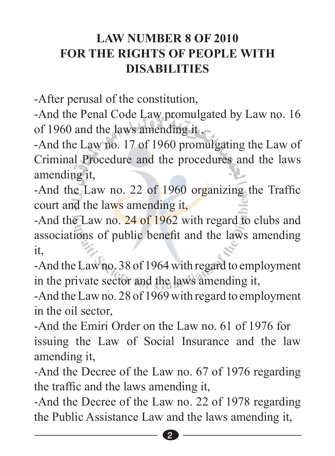#### **LAW NUMBER 8 OF 2010 FOR THE RIGHTS OF PEOPLE WITH DISABILITIES**

-After perusal of the constitution.

-And the Penal Code Law promulgated by Law no. 16 of 1960 and the laws amending it.

-And the Law no. 17 of 1960 promulgating the Law of Criminal Procedure and the procedures and the laws amending it.

-And the Law no. 22 of  $1960$  organizing the Traffic court and the laws amending it,

-And the Law no.  $24$  of 1962 with regard to clubs and associations of public benefit and the laws amending ,it

-And the Law no. 38 of 1964 with regard to employment in the private sector and the laws amending it,

-And the Law no. 28 of 1969 with regard to employment in the oil sector.

-And the Emiri Order on the Law no  $61$  of 1976 for issuing the Law of Social Insurance and the law amending it.

-And the Decree of the Law no. 67 of 1976 regarding the traffic and the laws amending it.

-And the Decree of the Law no. 22 of 1978 regarding the Public Assistance Law and the laws amending it,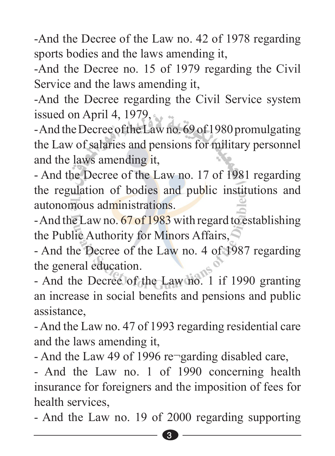-And the Decree of the Law no. 42 of 1978 regarding sports bodies and the laws amending it.

-And the Decree no. 15 of 1979 regarding the Civil Service and the laws amending it,

-And the Decree regarding the Civil Service system issued on April 4,  $1979$ ,

- And the Decree of the Law no. 69 of 1980 promulgating the Law of salaries and pensions for military personnel and the laws amending it.

- And the Decree of the Law no. 17 of 1981 regarding the regulation of bodies and public institutions and autonomous administrations

- And the Law no. 67 of 1983 with regard to establishing the Public Authority for Minors Affairs,

- And the Decree of the Law no. 4 of 1987 regarding the general education.

- And the Decree of the Law no. 1 if 1990 granting an increase in social benefits and pensions and public ,assistance

- And the Law no. 47 of 1993 regarding residential care and the laws amending it.

- And the Law 49 of 1996 re $\lnot$  garding disabled care,

- And the Law no. 1 of 1990 concerning health insurance for foreigners and the imposition of fees for health services.

- And the Law no. 19 of 2000 regarding supporting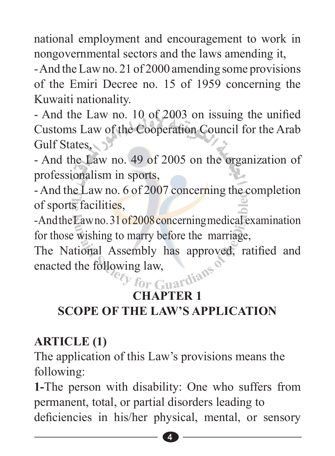national employment and encouragement to work in nongovernmental sectors and the laws amending it.

- And the Law no. 21 of 2000 amending some provisions of the Emiri Decree no. 15 of 1959 concerning the Kuwaiti nationality.

- And the Law no. 10 of 2003 on issuing the unified Customs Law of the Cooperation Council for the Arab Gulf States

- And the Law no. 49 of 2005 on the organization of professionalism in sports.

- And the Law no. 6 of 2007 concerning the completion of sports facilities,

 $-$ And the Law no.  $31$  of  $2008$  concerning medical examination for those wishing to marry before the marriage,

The National Assembly has approved, ratified and enacted the following law,<br> *For* Guardians enacted the following law,

# **1 CHAPTER APPLICATION SCOPE OF THE LAW'S APPLICATION**

#### **(1) ARTICLE**

The application of this Law's provisions means the following:

1-The person with disability: One who suffers from permanent, total, or partial disorders leading to deficiencies in his/her physical, mental, or sensory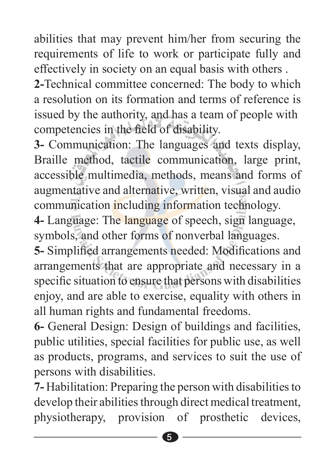abilities that may prevent him/her from securing the requirements of life to work or participate fully and effectively in society on an equal basis with others.

2-Technical committee concerned: The body to which a resolution on its formation and terms of reference is issued by the authority, and has a team of people with competencies in the field of disability.

3- Communication: The languages and texts display, Braille method, tactile communication, large print, accessible multimedia, methods, means and forms of augmentative and alternative, written, visual and audio communication including information technology.

4- Language: The language of speech, sign language, symbols, and other forms of nonverbal languages.

5- Simplified arrangements needed: Modifications and arrangements that are appropriate and necessary in a specific situation to ensure that persons with disabilities enjoy, and are able to exercise, equality with others in all human rights and fundamental freedoms.

6- General Design: Design of buildings and facilities, public utilities, special facilities for public use, as well as products, programs, and services to suit the use of persons with disabilities.

**7-** Habilitation: Preparing the person with disabilities to develop their abilities through direct medical treatment, physiotherapy, provision of prosthetic devices,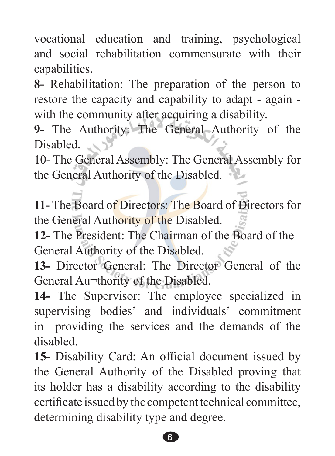vocational education and training, psychological and social rehabilitation commensurate with their .capabilities

**8-** Rehabilitation: The preparation of the person to restore the capacity and capability to adapt - again with the community after acquiring a disability.

9- The Authority: The General Authority of the Disabled.

10- The General Assembly: The General Assembly for the General Authority of the Disabled.

**11- The Board of Directors: The Board of Directors for** the General Authority of the Disabled.

12- The President: The Chairman of the Board of the General Authority of the Disabled.

13- Director General: The Director General of the General Au-thority of the Disabled.

14- The Supervisor: The employee specialized in supervising bodies' and individuals' commitment in providing the services and the demands of the .disabled

15- Disability Card: An official document issued by the General Authority of the Disabled proving that its holder has a disability according to the disability certificate issued by the competent technical committee. determining disability type and degree.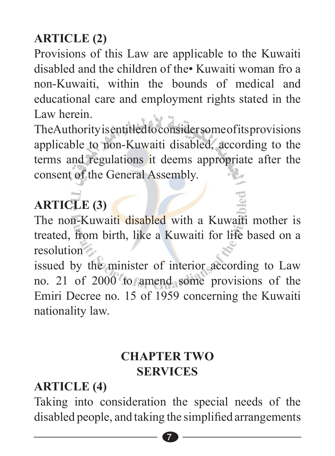# **(2) ARTICLE**

Provisions of this Law are applicable to the Kuwaiti disabled and the children of the Kuwaiti woman fro a non-Kuwaiti, within the bounds of medical and educational care and employment rights stated in the Law herein.

The Authority is entitled to consider some of its provisions applicable to non-Kuwaiti disabled, according to the terms and regulations it deems appropriate after the consent of the General Assembly.

# **(3) ARTICLE**

The non-Kuwaiti disabled with a Kuwaiti mother is treated, from birth, like a Kuwaiti for life based on a resolution

issued by the minister of interior according to Law no. 21 of 2000 to amend some provisions of the Emiri Decree no. 15 of 1959 concerning the Kuwaiti nationality law.

#### **CHAPTER TWO SERVICES**

#### **(4) ARTICLE**

Taking into consideration the special needs of the disabled people, and taking the simplified arrangements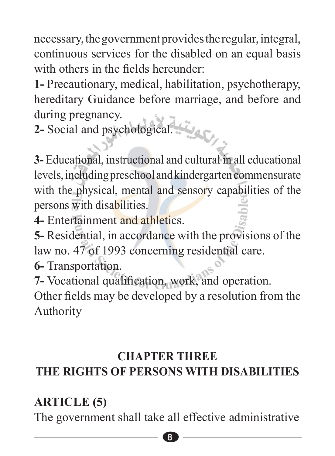necessary, the government provides the regular, integral, continuous services for the disabled on an equal basis with others in the fields hereunder

1- Precautionary, medical, habilitation, psychotherapy, hereditary Guidance before marriage, and before and during pregnancy.

تبعد 2- Social and psychological.

**3**- Educational, instructional and cultural in all educational levels, including preschool and kindergarten commensurate with the physical, mental and sensory capabilities of the persons with disabilities.

4- Entertainment and athletics

**5**- Residential, in accordance with the provisions of the law no. 47 of 1993 concerning residential care.

.Transportation **6-**

**7-** Vocational qualification, work, and operation.

Other fields may be developed by a resolution from the Authority

#### **CHAPTER THREE**

# **THE RIGHTS OF PERSONS WITH DISABILITIES**

#### **(5) ARTICLE**

The government shall take all effective administrative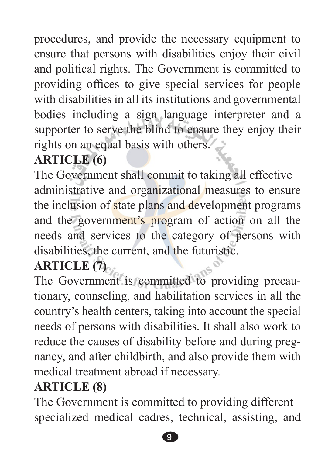procedures, and provide the necessary equipment to ensure that persons with disabilities enjoy their civil and political rights. The Government is committed to providing offices to give special services for people with disabilities in all its institutions and governmental bodies including a sign language interpreter and a supporter to serve the blind to ensure they enjoy their rights on an equal basis with others.

### **(6) ARTICLE**

The Government shall commit to taking all effective administrative and organizational measures to ensure the inclusion of state plans and development programs and the government's program of action on all the needs and services to the category of persons with disabilities, the current, and the futuristic.

# **(7) ARTICLE**

The Government is committed to providing precautionary, counseling, and habilitation services in all the country's health centers, taking into account the special needs of persons with disabilities. It shall also work to nancy, and after childbirth, and also provide them with reduce the causes of disability before and during pregmedical treatment abroad if necessary.

#### **(8) ARTICLE**

The Government is committed to providing different specialized medical cadres, technical, assisting, and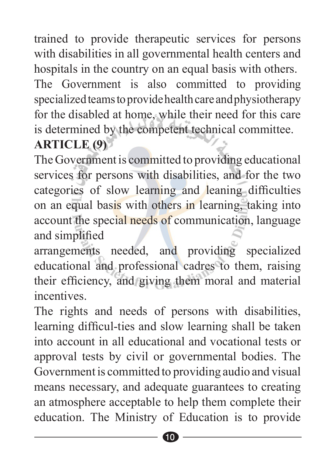trained to provide therapeutic services for persons with disabilities in all governmental health centers and hospitals in the country on an equal basis with others.

The Government is also committed to providing specialized teams to provide health care and physiotherapy for the disabled at home, while their need for this care is determined by the competent technical committee.

#### **(9) ARTICLE**

The Government is committed to providing educational services for persons with disabilities, and for the two categories of slow learning and leaning difficulties on an equal basis with others in learning, taking into account the special needs of communication, language and simplified

arrangements needed, and providing specialized educational and professional cadres to them, raising their efficiency, and giving them moral and material .incentives

The rights and needs of persons with disabilities, learning difficul-ties and slow learning shall be taken into account in all educational and vocational tests or approval tests by civil or governmental bodies. The Government is committed to providing audio and visual means necessary, and adequate guarantees to creating an atmosphere acceptable to help them complete their education. The Ministry of Education is to provide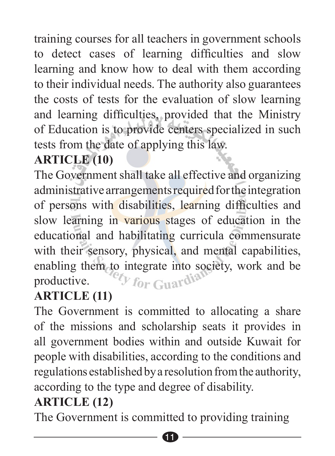training courses for all teachers in government schools to detect cases of learning difficulties and slow learning and know how to deal with them according to their individual needs. The authority also guarantees the costs of tests for the evaluation of slow learning and learning difficulties, provided that the Ministry of Education is to provide centers specialized in such tests from the date of applying this law.

### **(10) ARTICLE**

The Government shall take all effective and organizing administrative arrangements required for the integration of persons with disabilities, learning difficulties and slow learning in various stages of education in the educational and habilitating curricula commensurate with their sensory, physical, and mental capabilities, enabling them to integrate into society, work and be productive. productive.

#### **(11) ARTICLE**

The Government is committed to allocating a share of the missions and scholarship seats it provides in all government bodies within and outside Kuwait for people with disabilities, according to the conditions and regulations established by a resolution from the authority, according to the type and degree of disability.

#### **(12) ARTICLE**

The Government is committed to providing training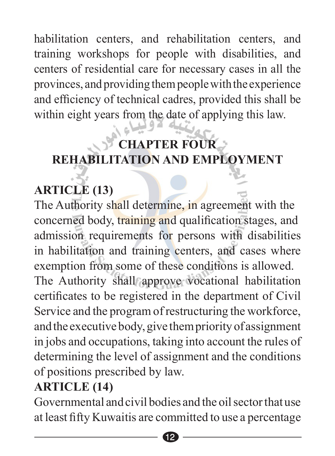habilitation centers, and rehabilitation centers, and training workshops for people with disabilities, and centers of residential care for necessary cases in all the provinces, and providing them people with the experience and efficiency of technical cadres, provided this shall be within eight years from the date of applying this law.

# **CHAPTER FOUR REHABILITATION AND EMPLOYMENT**

# **(13) ARTICLE**

The Authority shall determine, in agreement with the concerned body, training and qualification stages, and admission requirements for persons with disabilities in habilitation and training centers, and cases where exemption from some of these conditions is allowed. The Authority shall approve vocational habilitation certificates to be registered in the department of Civil Service and the program of restructuring the workforce, and the executive body, give them priority of assignment in jobs and occupations, taking into account the rules of determining the level of assignment and the conditions of positions prescribed by law.

#### **(14) ARTICLE**

Governmental and civil bodies and the oil sector that use at least fifty Kuwaitis are committed to use a percentage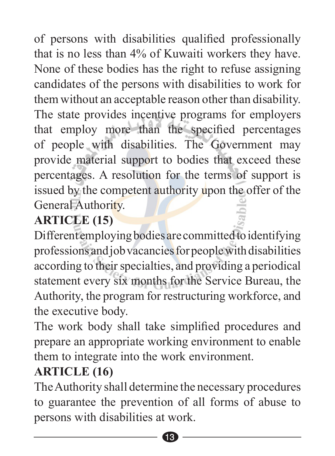of persons with disabilities qualified professionally that is no less than  $4\%$  of Kuwaiti workers they have. None of these bodies has the right to refuse assigning candidates of the persons with disabilities to work for them without an acceptable reason other than disability. The state provides incentive programs for employers that employ more than the specified percentages of people with disabilities. The Government may provide material support to bodies that exceed these percentages. A resolution for the terms of support is issued by the competent authority upon the offer of the General Authority.

# **ARTICLE** (15)

Different employing bodies are committed to identifying professions and job vacancies for people with disabilities according to their specialties, and providing a periodical statement every six months for the Service Bureau, the Authority, the program for restructuring workforce, and the executive body.

The work body shall take simplified procedures and prepare an appropriate working environment to enable them to integrate into the work environment.

#### **(16) ARTICLE**

The Authority shall determine the necessary procedures to guarantee the prevention of all forms of abuse to persons with disabilities at work.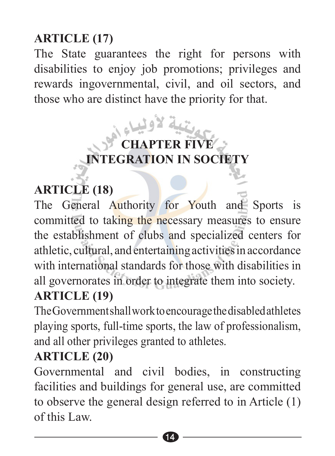#### **(17) ARTICLE**

The State guarantees the right for persons with disabilities to enjoy job promotions; privileges and rewards ingovernmental, civil, and oil sectors, and those who are distinct have the priority for that.

# **FIVE CHAPTER FIVE INTEGRATION IN SOCIETY**

# **(18) ARTICLE**

The General Authority for Youth and Sports is committed to taking the necessary measures to ensure the establishment of clubs and specialized centers for athletic, cultural, and entertaining activities in accordance with international standards for those with disabilities in all governorates in order to integrate them into society.

#### **(19) ARTICLE**

The Government shall work to encourage the disabled at hletes playing sports, full-time sports, the law of professionalism. and all other privileges granted to athletes.

#### **(20) ARTICLE**

Governmental and civil bodies, in constructing facilities and buildings for general use, are committed to observe the general design referred to in Article  $(1)$ of this Law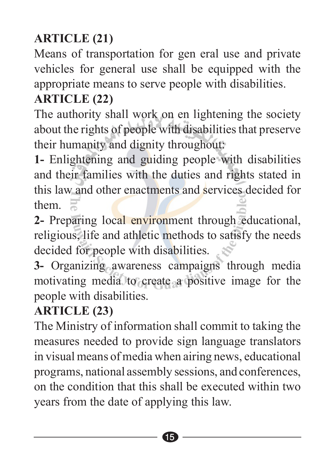# **(21) ARTICLE**

Means of transportation for gen eral use and private vehicles for general use shall be equipped with the appropriate means to serve people with disabilities.

#### **(22) ARTICLE**

The authority shall work on en lightening the society about the rights of people with disabilities that preserve their humanity and dignity throughout:

1- Enlightening and guiding people with disabilities and their families with the duties and rights stated in this law and other enactments and services decided for them.

2- Preparing local environment through educational, religious, life and athletic methods to satisfy the needs decided for people with disabilities.

3- Organizing awareness campaigns through media motivating media to create a positive image for the people with disabilities.

#### **(23) ARTICLE**

The Ministry of information shall commit to taking the measures needed to provide sign language translators in visual means of media when airing news, educational programs, national assembly sessions, and conferences, on the condition that this shall be executed within two years from the date of applying this law.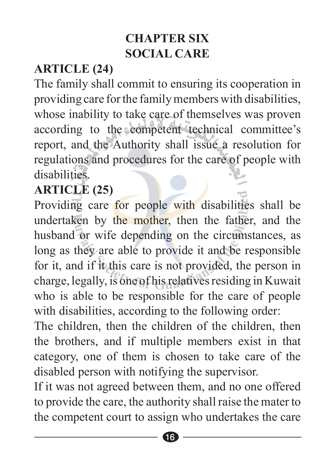#### **CHAPTER SIX SOCIAL CARE**

#### **(24) ARTICLE**

The family shall commit to ensuring its cooperation in providing care for the family members with disabilities. whose inability to take care of themselves was proven according to the competent technical committee's report, and the Authority shall issue a resolution for regulations and procedures for the care of people with .disabilities

#### **(25) ARTICLE**

Providing care for people with disabilities shall be undertaken by the mother, then the father, and the husband or wife depending on the circumstances, as long as they are able to provide it and be responsible for it, and if it this care is not provided, the person in charge, legally, is one of his relatives residing in Kuwait who is able to be responsible for the care of people with disabilities, according to the following order:

The children, then the children of the children, then the brothers, and if multiple members exist in that category, one of them is chosen to take care of the disabled person with notifying the supervisor.

If it was not agreed between them, and no one offered to provide the care, the authority shall raise the mater to the competent court to assign who undertakes the care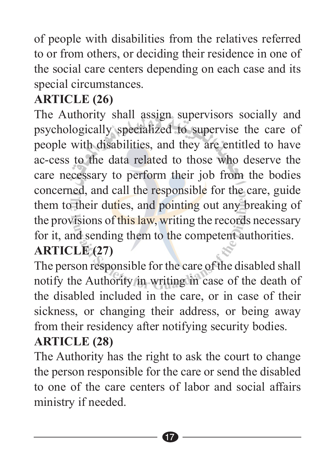of people with disabilities from the relatives referred to or from others, or deciding their residence in one of the social care centers depending on each case and its special circumstances.

#### **(26) ARTICLE**

The Authority shall assign supervisors socially and psychologically specialized to supervise the care of people with disabilities, and they are entitled to have ac-cess to the data related to those who deserve the care necessary to perform their job from the bodies concerned, and call the responsible for the care, guide them to their duties, and pointing out any breaking of the provisions of this law, writing the records necessary for it, and sending them to the competent authorities. **(27) ARTICLE**

The person responsible for the care of the disabled shall notify the Authority in writing in case of the death of the disabled included in the care, or in case of their sickness, or changing their address, or being away from their residency after notifying security bodies.

#### **(28) ARTICLE**

The Authority has the right to ask the court to change the person responsible for the care or send the disabled to one of the care centers of labor and social affairs ministry if needed.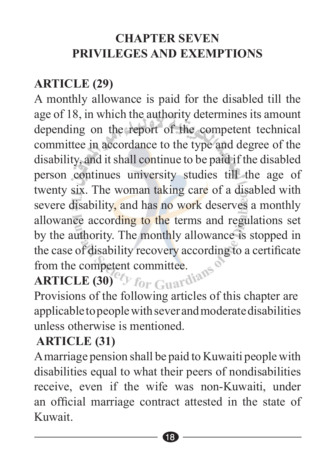#### **CHAPTER SEVEN PRIVILEGES AND EXEMPTIONS**

#### **(29) ARTICLE**

A monthly allowance is paid for the disabled till the age of 18, in which the authority determines its amount depending on the report of the competent technical committee in accordance to the type and degree of the disability, and it shall continue to be paid if the disabled person continues university studies till the age of twenty six. The woman taking care of a disabled with severe disability, and has no work deserves a monthly allowance according to the terms and regulations set by the authority. The monthly allowance is stopped in the case of disability recovery according to a certificate from the competent committee.

# **(30) ARTICLE**

Provisions of the following articles of this chapter are applicable to people with sever and moderate disabilities unless otherwise is mentioned

#### **(31) ARTICLE**

A marriage pension shall be paid to Kuwaiti people with disabilities equal to what their peers of nondisabilities receive, even if the wife was non-Kuwaiti, under an official marriage contract attested in the state of .Kuwait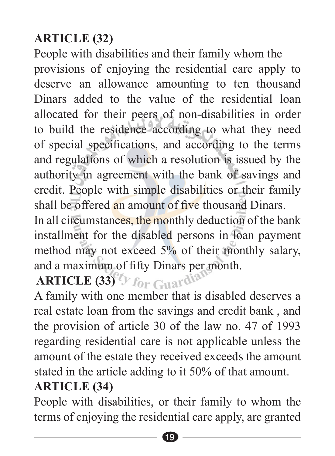#### **(32) ARTICLE**

People with disabilities and their family whom the provisions of enjoying the residential care apply to deserve an allowance amounting to ten thousand Dinars added to the value of the residential loan allocated for their peers of non-disabilities in order to build the residence according to what they need of special specifications, and according to the terms and regulations of which a resolution is issued by the authority in agreement with the bank of savings and credit. People with simple disabilities or their family shall be offered an amount of five thousand Dinars.

In all circumstances, the monthly deduction of the bank installment for the disabled persons in Ioan payment method may not exceed  $5%$  of their monthly salary, and a maximum of fifty Dinars per month.

# **ARTICLE (33)** For Guardian

A family with one member that is disabled deserves a real estate loan from the savings and credit bank, and the provision of article 30 of the law no.  $47$  of 1993 regarding residential care is not applicable unless the amount of the estate they received exceeds the amount stated in the article adding to it  $50\%$  of that amount.

#### **(34) ARTICLE**

People with disabilities, or their family to whom the terms of enjoying the residential care apply, are granted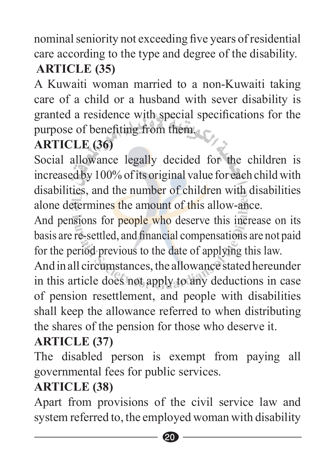nominal seniority not exceeding five years of residential . care according to the type and degree of the disability. **(35) ARTICLE** 

A Kuwaiti-woman married to a non-Kuwaiti taking care of a child or a husband with sever disability is granted a residence with special specifications for the purpose of benefiting from them.

#### **(36) ARTICLE**

Social allowance legally decided for the children is increased by 100% of its original value for each child with disabilities, and the number of children with disabilities alone determines the amount of this allow-ance

And pensions for people who deserve this increase on its basis are re-settled, and financial compensations are not paid for the period previous to the date of applying this law.

And in all circumstances, the allowance stated hereunder in this article does not apply to any deductions in case of pension resettlement, and people with disabilities shall keep the allowance referred to when distributing the shares of the pension for those who deserve it.

### **(37) ARTICLE**

The disabled person is exempt from paying all governmental fees for public services.

#### **(38) ARTICLE**

Apart from provisions of the civil service law and system referred to, the employed woman with disability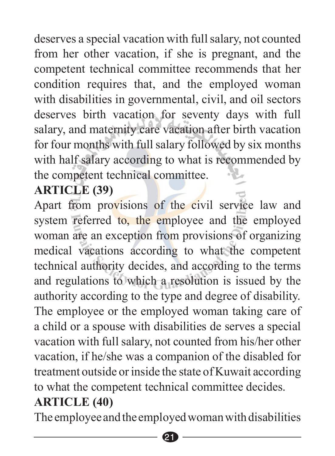deserves a special vacation with full salary, not counted from her other vacation, if she is pregnant, and the competent technical committee recommends that her condition requires that, and the employed woman with disabilities in governmental, civil, and oil sectors deserves birth vacation for seventy days with full salary, and maternity care vacation after birth vacation for four months with full salary followed by six months with half salary according to what is recommended by the competent technical committee.

#### **(39) ARTICLE**

Apart from provisions of the civil service law and system referred to, the employee and the employed woman are an exception from provisions of organizing medical vacations according to what the competent technical authority decides, and according to the terms and regulations to which a resolution is issued by the authority according to the type and degree of disability. The employee or the employed woman taking care of a child or a spouse with disabilities de serves a special vacation with full salary, not counted from his/her other vacation, if he/she was a companion of the disabled for treatment outside or inside the state of Kuwait according to what the competent technical committee decides. **(40) ARTICLE**

The employee and the employed woman with disabilities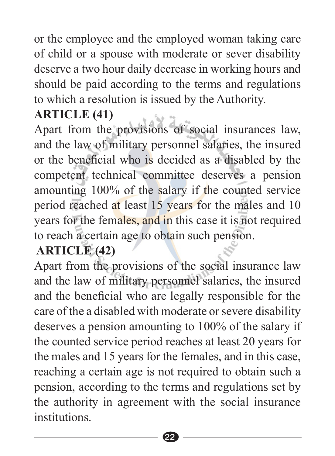or the employee and the employed woman taking care of child or a spouse with moderate or sever disability deserve a two hour daily decrease in working hours and should be paid according to the terms and regulations to which a resolution is issued by the Authority.

#### **(41) ARTICLE**

Apart from the provisions of social insurances law, and the law of military personnel salaries, the insured or the beneficial who is decided as a disabled by the competent technical committee deserves a pension amounting 100% of the salary if the counted service period reached at least 15 years for the males and 10 years for the females, and in this case it is not required to reach a certain age to obtain such pension.

#### **(42) ARTICLE**

Apart from the provisions of the social insurance law and the law of military personnel salaries, the insured and the beneficial who are legally responsible for the care of the a disabled with moderate or severe disability deserves a pension amounting to  $100\%$  of the salary if the counted service period reaches at least 20 years for the males and 15 years for the females, and in this case. reaching a certain age is not required to obtain such a pension, according to the terms and regulations set by the authority in agreement with the social insurance .institutions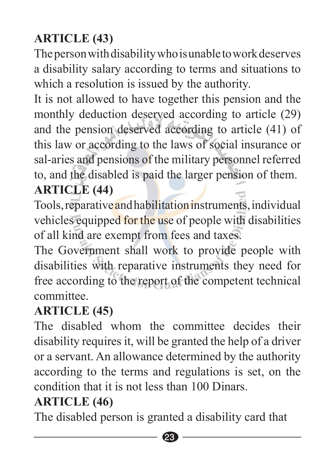# **(43) ARTICLE**

The person with disability who is unable to work deserves a disability salary according to terms and situations to which a resolution is issued by the authority.

It is not allowed to have together this pension and the monthly deduction deserved according to article (29) and the pension deserved according to article  $(41)$  of this law or according to the laws of social insurance or sal-aries and pensions of the military personnel referred to, and the disabled is paid the larger pension of them. **(44) ARTICLE**

#### Tools, reparative and habilitation instruments, individual vehicles equipped for the use of people with disabilities of all kind are exempt from fees and taxes.

The Government shall work to provide people with disabilities with reparative instruments they need for free according to the report of the competent technical .committee

#### **(45) ARTICLE**

The disabled whom the committee decides their disability requires it, will be granted the help of a driver or a servant. An allowance determined by the authority according to the terms and regulations is set, on the condition that it is not less than 100 Dinars

#### **(46) ARTICLE**

The disabled person is granted a disability card that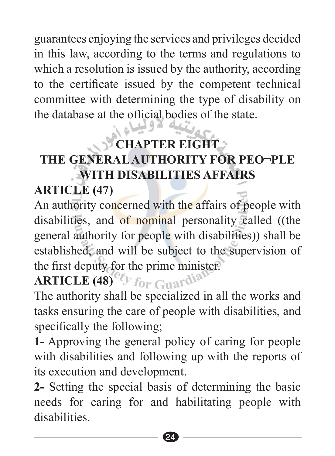guarantees enjoying the services and privileges decided in this law, according to the terms and regulations to which a resolution is issued by the authority, according to the certificate issued by the competent technical committee with determining the type of disability on the database at the official bodies of the state. وليباءي

# **CHAPTER EIGHT THE GENERAL AUTHORITY FOR PEO-PLE AFFAIRS**

# **(47) ARTICLE**

An authority concerned with the affairs of people with disabilities, and of nominal personality called ((the general authority for people with disabilities)) shall be established, and will be subject to the supervision of the first deputy for the prime minister.

# **ARTICLE** (48)<sup>60</sup>*For* Guardia

The authority shall be specialized in all the works and tasks ensuring the care of people with disabilities, and specifically the following.

1- Approving the general policy of caring for people with disabilities and following up with the reports of its execution and development.

2- Setting the special basis of determining the basic needs for caring for and habilitating people with disabilities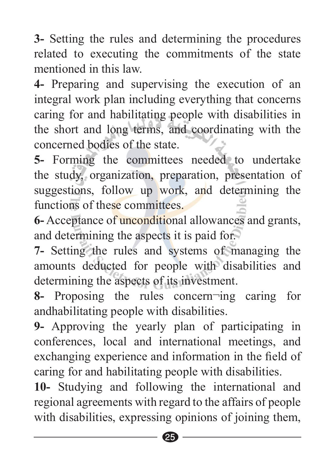**3-** Setting the rules and determining the procedures related to executing the commitments of the state mentioned in this law

4- Preparing and supervising the execution of an integral work plan including everything that concerns caring for and habilitating people with disabilities in the short and long terms, and coordinating with the concerned bodies of the state.

5- Forming the committees needed to undertake the study, organization, preparation, presentation of suggestions, follow up work, and determining the functions of these committees

6- Acceptance of **unconditional allowances and grants**. and determining the aspects it is paid for.

7- Setting the rules and systems of managing the amounts deducted for people with disabilities and determining the aspects of its investment.

**8-** Proposing the rules concern ing caring for andhabilitating people with disabilities.

**9-** Approving the yearly plan of participating in conferences, local and international meetings, and exchanging experience and information in the field of . caring for and habilitating people with disabilities.

10- Studying and following the international and regional agreements with regard to the affairs of people with disabilities, expressing opinions of joining them,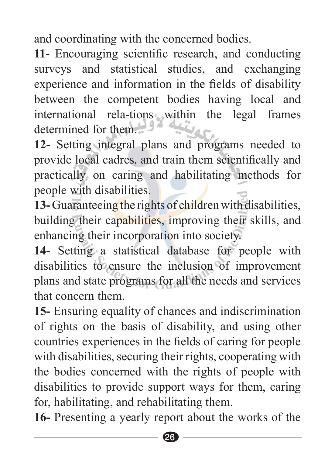and coordinating with the concerned bodies.

11- Encouraging scientific research, and conducting surveys and statistical studies, and exchanging experience and information in the fields of disability between the competent bodies having local and international rela-tions-within the legal frames determined for them  $\mathcal{L}$ 

12- Setting integral plans and programs needed to provide local cadres, and train them scientifically and practically on caring and habilitating methods for people with disabilities.

13-Guaranteeing the rights of children with disabilities. building their capabilities, improving their skills, and enhancing their incorporation into society.

14- Setting a statistical database for people with disabilities to ensure the inclusion of improvement plans and state programs for all the needs and services that concern them

**15-** Ensuring equality of chances and indiscrimination of rights on the basis of disability, and using other countries experiences in the fields of caring for people with disabilities, securing their rights, cooperating with the bodies concerned with the rights of people with disabilities to provide support ways for them, caring for, habilitating, and rehabilitating them.

16- Presenting a yearly report about the works of the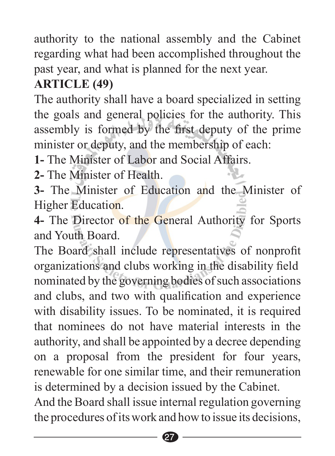authority to the national assembly and the Cabinet regarding what had been accomplished throughout the past year, and what is planned for the next year.

#### **(49) ARTICLE**

The authority shall have a board specialized in setting the goals and general policies for the authority. This assembly is formed by the first deputy of the prime minister or deputy, and the membership of each:

**1.** The Minister of Labor and Social Affairs

2- The Minister of Health

**3-** The Minister of Education and the Minister of Higher Education.

4- The Director of the General Authority for Sports and Youth Board.

The Board shall include representatives of nonprofit organizations and clubs working in the disability field nominated by the governing bodies of such associations and clubs, and two with qualification and experience with disability issues. To be nominated, it is required that nominees do not have material interests in the authority, and shall be appointed by a decree depending on a proposal from the president for four years, renewable for one similar time, and their remuneration is determined by a decision issued by the Cabinet.

And the Board shall issue internal regulation governing the procedures of its work and how to issue its decisions,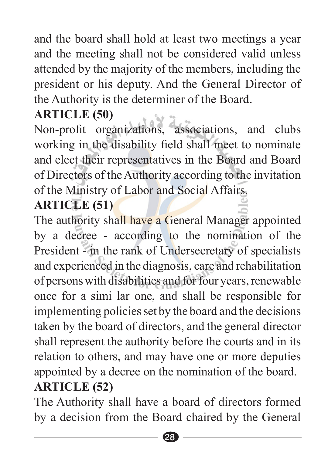and the board shall hold at least two meetings a year and the meeting shall not be considered valid unless attended by the majority of the members, including the president or his deputy. And the General Director of the Authority is the determiner of the Board.

#### **(50) ARTICLE**

Non-profit organizations, associations, and clubs working in the disability field shall meet to nominate and elect their representatives in the Board and Board of Directors of the Authority according to the invitation of the Ministry of Labor and Social Affairs.

#### **(51) ARTICLE**

The authority shall have a General Manager appointed by a decree - according to the nomination of the President - in the rank of Undersecretary of specialists and experienced in the diagnosis, care and rehabilitation of persons with disabilities and for four years, renewable once for a simi lar one, and shall be responsible for implementing policies set by the board and the decisions taken by the board of directors, and the general director shall represent the authority before the courts and in its relation to others, and may have one or more deputies appointed by a decree on the nomination of the board. **(52) ARTICLE**

The Authority shall have a board of directors formed by a decision from the Board chaired by the General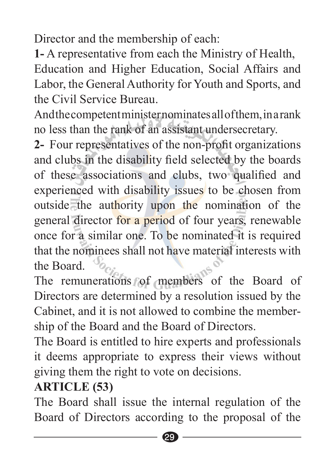Director and the membership of each:

1- A representative from each the Ministry of Health, Education and Higher Education, Social Affairs and Labor, the General Authority for Youth and Sports, and the Civil Service Bureau

And the competent minister nominates all of them, in a rank no less than the rank of an assistant undersecretary.

2- Four representatives of the non-profit organizations and clubs in the disability field selected by the boards of these associations and clubs, two qualified and experienced with disability issues to be chosen from outside the authority upon the nomination of the general director for a period of four years, renewable once for a similar one. To be nominated it is required that the nominees shall not have material interests with the Board

The remunerations of members of the Board of Directors are determined by a resolution issued by the Cabinet, and it is not allowed to combine the member-<br>ship of the Board and the Board of Directors.

The Board is entitled to hire experts and professionals it deems appropriate to express their views without giving them the right to vote on decisions.

#### **(53) ARTICLE**

The Board shall issue the internal regulation of the Board of Directors according to the proposal of the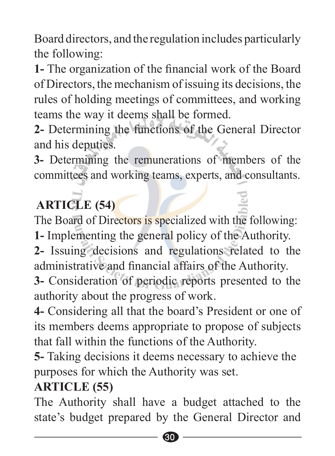Board directors, and the regulation includes particularly the following:

1- The organization of the financial work of the Board of Directors, the mechanism of issuing its decisions, the rules of holding meetings of committees, and working teams the way it deems shall be formed.

2- Determining the functions of the General Director and his deputies.

**3-** Determining the remunerations of members of the committees and working teams, experts, and consultants.

# **(54) ARTICLE**

The Board of Directors is specialized with the following:

1- Implementing the general policy of the Authority.

2- Issuing decisions and regulations related to the administrative and financial affairs of the Authority.

**3-** Consideration of periodic reports presented to the authority about the progress of work.

4- Considering all that the board's President or one of its members deems appropriate to propose of subjects that fall within the functions of the Authority.

**5**- Taking decisions it deems necessary to achieve the purposes for which the Authority was set.

#### **(55) ARTICLE**

The Authority shall have a budget attached to the state's budget prepared by the General Director and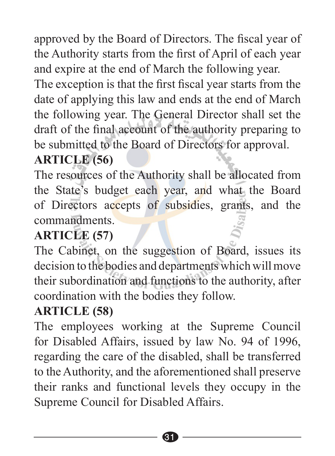approved by the Board of Directors. The fiscal year of the Authority starts from the first of April of each year and expire at the end of March the following year.

The exception is that the first fiscal year starts from the date of applying this law and ends at the end of March the following year. The General Director shall set the draft of the final account of the authority preparing to be submitted to the Board of Directors for approval.

#### **(56) ARTICLE**

The resources of the Authority shall be allocated from the State's budget each year, and what the Board of Directors accepts of subsidies, grants, and the .commandments

#### **(57) ARTICLE**

The Cabinet, on the suggestion of Board, issues its decision to the bodies and departments which will move their subordination and functions to the authority, after coordination with the bodies they follow.

#### **(58) ARTICLE**

The employees working at the Supreme Council for Disabled Affairs, issued by law No. 94 of 1996, regarding the care of the disabled, shall be transferred to the Authority, and the aforementioned shall preserve their ranks and functional levels they occupy in the Supreme Council for Disabled Affairs.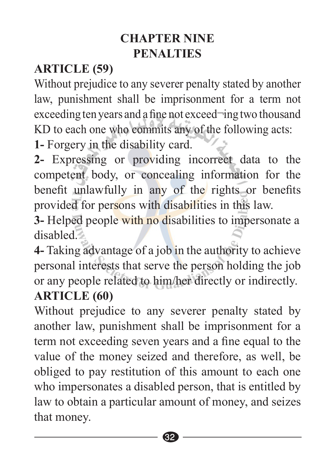#### **CHAPTER NINE PENALTIES**

# **(59) ARTICLE**

Without prejudice to any severer penalty stated by another law, punishment shall be imprisonment for a term not exceeding ten years and a fine not exceed  $\lnot$  ing two thousand KD to each one who commits any of the following acts:

1- Forgery in the disability card.

2- Expressing or providing incorrect data to the competent body, or concealing information for the benefit unlawfully in any of the rights or benefits provided for persons with disabilities in this law.

**3-** Helped people with no disabilities to impersonate a disabled<sup>7</sup>

4- Taking advantage of a job in the authority to achieve personal interests that serve the person holding the job or any people related to him/her directly or indirectly.

#### **(60) ARTICLE**

Without prejudice to any severer penalty stated by another law, punishment shall be imprisonment for a term not exceeding seven years and a fine equal to the value of the money seized and therefore, as well, be obliged to pay restitution of this amount to each one who impersonates a disabled person, that is entitled by law to obtain a particular amount of money, and seizes that money.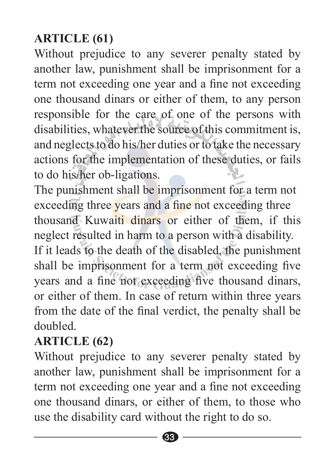#### **(61) ARTICLE**

Without prejudice to any severer penalty stated by another law, punishment shall be imprisonment for a term not exceeding one year and a fine not exceeding one thousand dinars or either of them, to any person responsible for the care of one of the persons with disabilities, whatever the source of this commitment is, and neglects to do his/her duties or to take the necessary actions for the implementation of these duties, or fails to do his/her ob-ligations.

The punishment shall be imprisonment for a term not exceeding three years and a fine not exceeding three thousand Kuwaiti dinars or either of them, if this neglect resulted in harm to a person with a disability. If it leads to the death of the disabled, the punishment shall be imprisonment for a term not exceeding five years and a fine not exceeding five thousand dinars, or either of them. In case of return within three years from the date of the final verdict, the penalty shall be .doubled

#### **(62) ARTICLE**

Without prejudice to any severer penalty stated by another law, punishment shall be imprisonment for a term not exceeding one year and a fine not exceeding one thousand dinars, or either of them, to those who use the disability card without the right to do so.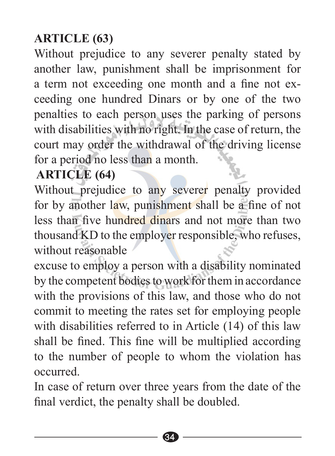#### **(63) ARTICLE**

Without prejudice to any severer penalty stated by another law, punishment shall be imprisonment for ceeding one hundred Dinars or by one of the two a term not exceeding one month and a fine not expenalties to each person uses the parking of persons with disabilities with no right. In the case of return, the court may order the withdrawal of the driving license for a period no less than a month.

#### **(64) ARTICLE**

Without prejudice to any severer penalty provided for by another law, punishment shall be a fine of not less than five hundred dinars and not more than two thousand KD to the employer responsible, who refuses, without reasonable

excuse to employ a person with a disability nominated by the competent bodies to work for them in accordance with the provisions of this law, and those who do not commit to meeting the rates set for employing people with disabilities referred to in Article  $(14)$  of this law shall be fined. This fine will be multiplied according to the number of people to whom the violation has .occurred

In case of return over three years from the date of the final verdict, the penalty shall be doubled.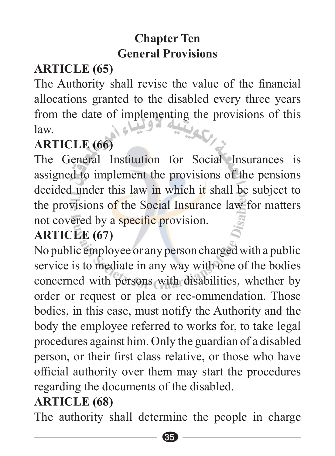#### **Chapter** Ten **General Provisions**

# **(65) ARTICLE**

The Authority shall revise the value of the financial allocations granted to the disabled every three years from the date of implementing the provisions of this law. .law

#### **(66) ARTICLE**

The General Institution for Social Insurances is assigned to implement the provisions of the pensions decided under this law in which it shall be subject to the provisions of the Social Insurance law for matters not covered by a specific provision.

#### **ARTICLE** (67)

No public employee or any person charged with a public service is to mediate in any way with one of the bodies concerned with persons with disabilities, whether by order or request or plea or rec-ommendation. Those bodies, in this case, must notify the Authority and the body the employee referred to works for, to take legal procedures against him. Only the guardian of a disabled person, or their first class relative, or those who have official authority over them may start the procedures regarding the documents of the disabled.

#### **(68) ARTICLE**

The authority shall determine the people in charge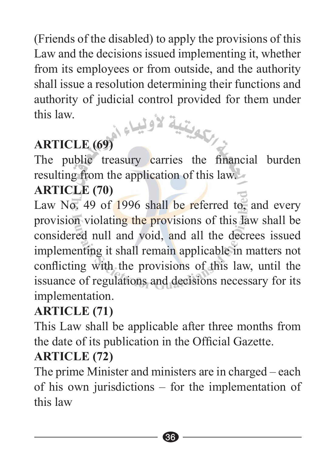(Friends of the disabled) to apply the provisions of this Law and the decisions issued implementing it, whether from its employees or from outside, and the authority shall issue a resolution determining their functions and authority of judicial control provided for them under this law this law.<br>**ARTICLE** (69) المسلم المسلم المسلم المسلم المسلم المسلم المسلم المسلم المسلم المسلم المسلم المسلم المسلم المسلم ا

The public treasury carries the financial burden resulting from the application of this law.

### **(70) ARTICLE**

Law No. 49 of  $1996$  shall be referred to, and every provision violating the provisions of this law shall be considered null and void, and all the decrees issued implementing it shall remain applicable in matters not conflicting with the provisions of this law, until the its issuance of regulations and decisions necessary for its implementation.

### **(71) ARTICLE**

This Law shall be applicable after three months from the date of its publication in the Official Gazette.

#### **(72) ARTICLE**

The prime Minister and ministers are in charged  $-$  each of his own jurisdictions – for the implementation of this law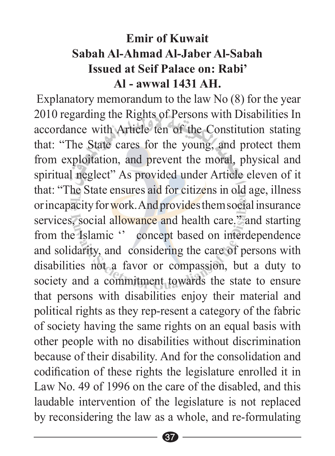#### **Emir of Kuwait Sabah-Al Jaber-Al Ahmad-Al Sabah Issued at Seif Palace on: Rabi' Al** - awwal 1431 AH

Explanatory memorandum to the law  $No(8)$  for the year 2010 regarding the Rights of Persons with Disabilities In accordance with Article ten of the Constitution stating that: "The State cares for the young, and protect them from exploitation, and prevent the moral, physical and spiritual neglect" As provided under Article eleven of it that: "The State ensures aid for citizens in old age, illness or incapacity for work. And provides them social insurance services, social allowance and health care." and starting from the Islamic " concept based on interdependence and solidarity, and considering the care of persons with disabilities not a favor or compassion, but a duty to society and a commitment towards the state to ensure that persons with disabilities enjoy their material and political rights as they rep-resent a category of the fabric of society having the same rights on an equal basis with other people with no disabilities without discrimination because of their disability. And for the consolidation and codification of these rights the legislature enrolled it in Law No. 49 of 1996 on the care of the disabled, and this laudable intervention of the legislature is not replaced by reconsidering the law as a whole, and re-formulating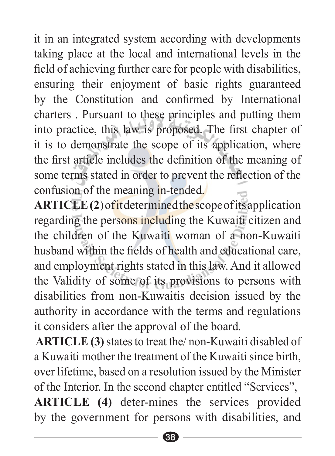it in an integrated system according with developments taking place at the local and international levels in the field of achieving further care for people with disabilities, ensuring their enjoyment of basic rights guaranteed by the Constitution and confirmed by International charters . Pursuant to these principles and putting them into practice, this law is proposed. The first chapter of it is to demonstrate the scope of its application, where the first article includes the definition of the meaning of some terms stated in order to prevent the reflection of the confusion of the meaning in-tended.

ARTICLE(2) of it determined the scope of its application regarding the persons including the Kuwaiti citizen and the children of the Kuwaiti woman of a non-Kuwaiti husband within the fields of health and educational care. and employment rights stated in this law. And it allowed the Validity of some of its provisions to persons with disabilities from non-Kuwaitis decision issued by the authority in accordance with the terms and regulations it considers after the approval of the board.

ARTICLE (3) states to treat the/non-Kuwaiti disabled of a Kuwaiti mother the treatment of the Kuwaiti since birth. over lifetime, based on a resolution issued by the Minister of the Interior. In the second chapter entitled "Services". ARTICLE (4) deter-mines the services provided by the government for persons with disabilities, and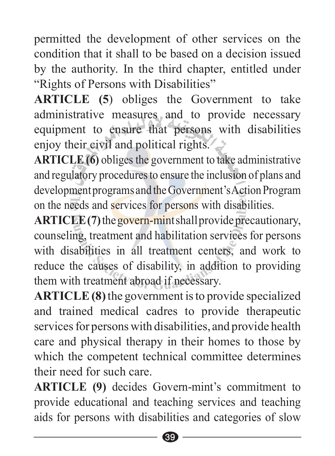permitted the development of other services on the condition that it shall to be based on a decision issued by the authority. In the third chapter, entitled under "Rights of Persons with Disabilities"

**ARTICLE** (5) obliges the Government to take administrative measures and to provide necessary equipment to ensure that persons with disabilities enjoy their civil and political rights.

ARTICLE (6) obliges the government to take administrative and regulatory procedures to ensure the inclusion of plans and development programs and the Government's Action Program on the needs and services for persons with disabilities.

ARTICLE (7) the govern-mint shall provide precautionary, counseling, treatment and habilitation services for persons with disabilities in all treatment centers, and work to reduce the causes of disability, in addition to providing them with treatment abroad if necessary.

**ARTICLE** (8) the government is to provide specialized and trained medical cadres to provide therapeutic services for persons with disabilities, and provide health care and physical therapy in their homes to those by which the competent technical committee determines their need for such care

ARTICLE (9) decides Govern-mint's commitment to provide educational and teaching services and teaching aids for persons with disabilities and categories of slow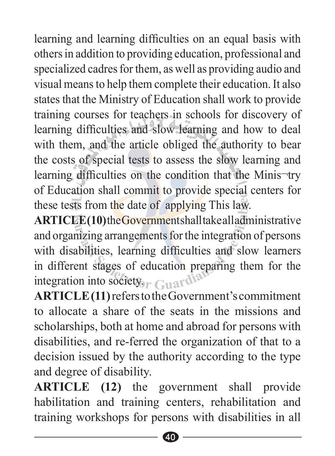learning and learning difficulties on an equal basis with others in addition to providing education, professional and specialized cadres for them, as well as providing audio and visual means to help them complete their education. It also states that the Ministry of Education shall work to provide training courses for teachers in schools for discovery of learning difficulties and slow learning and how to deal with them, and the article obliged the authority to bear the costs of special tests to assess the slow learning and learning difficulties on the condition that the Minis-try of Education shall commit to provide special centers for these tests from the date of applying This law.

ARTICLE(10)theGovernment shall take all administrative and organizing arrangements for the integration of persons with disabilities, learning difficulties and slow learners in different stages of education preparing them for the integration into society  $\mathbb{C}_1$  ard

ARTICLE (11) refers to the Government's commitment to allocate a share of the seats in the missions and scholarships, both at home and abroad for persons with disabilities, and re-ferred the organization of that to a decision issued by the authority according to the type and degree of disability.

ARTICLE (12) the government shall provide habilitation and training centers, rehabilitation and training workshops for persons with disabilities in all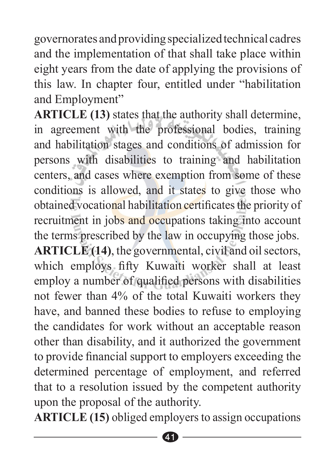governorates and providing specialized technical cadres and the implementation of that shall take place within eight years from the date of applying the provisions of this law. In chapter four, entitled under "habilitation and Employment"

ARTICLE (13) states that the authority shall determine, in agreement with the professional bodies, training and habilitation stages and conditions of admission for persons with disabilities to training and habilitation centers, and cases where exemption from some of these conditions is allowed, and it states to give those who obtained vocational habilitation certificates the priority of recruitment in jobs and occupations taking into account the terms prescribed by the law in occupying those jobs. ARTICLE (14), the governmental, civil and oil sectors, which employs fifty Kuwaiti worker shall at least employ a number of qualified persons with disabilities not fewer than 4% of the total Kuwaiti workers they have, and banned these bodies to refuse to employing the candidates for work without an acceptable reason other than disability, and it authorized the government to provide financial support to employers exceeding the determined percentage of employment, and referred that to a resolution issued by the competent authority upon the proposal of the authority.

ARTICLE (15) obliged employers to assign occupations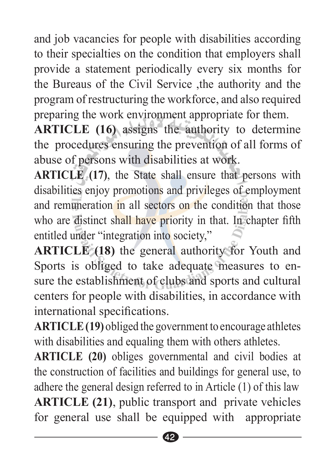and job vacancies for people with disabilities according to their specialties on the condition that employers shall provide a statement periodically every six months for the Bureaus of the Civil Service the authority and the program of restructuring the workforce, and also required preparing the work environment appropriate for them.

**ARTICLE** (16) assigns the authority to determine the procedures ensuring the prevention of all forms of abuse of persons with disabilities at work.

ARTICLE (17), the State shall ensure that persons with disabilities enjoy promotions and privileges of employment and remuneration in all sectors on the condition that those who are distinct shall have priority in that. In chapter fifth entitled under "integration into society,"

ARTICLE (18) the general authority for Youth and sure the establishment of clubs and sports and cultural Sports is obliged to take adequate measures to encenters for people with disabilities, in accordance with international specifications.

ARTICLE (19) obliged the government to encourage athletes with disabilities and equaling them with others athletes.

ARTICLE (20) obliges governmental and civil bodies at the construction of facilities and buildings for general use, to adhere the general design referred to in Article  $(1)$  of this law ARTICLE (21), public transport and private vehicles for general use shall be equipped with appropriate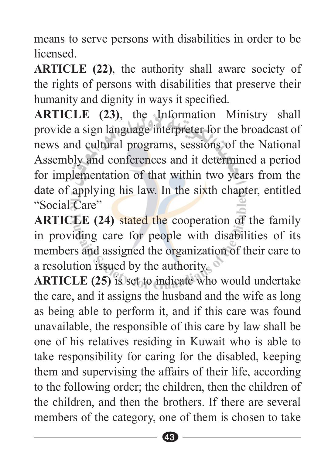means to serve persons with disabilities in order to be. .licensed

**ARTICLE** (22), the authority shall aware society of the rights of persons with disabilities that preserve their humanity and dignity in ways it specified.

ARTICLE (23), the Information Ministry shall provide a sign language interpreter for the broadcast of news and cultural programs, sessions of the National Assembly and conferences and it determined a period for implementation of that within two years from the date of applying his law. In the sixth chapter, entitled "Social Care"

**ARTICLE** (24) stated the cooperation of the family in providing care for people with disabilities of its members and assigned the organization of their care to a resolution issued by the authority.  $\bullet$ 

ARTICLE (25) is set to indicate who would undertake the care, and it assigns the husband and the wife as long as being able to perform it, and if this care was found unavailable, the responsible of this care by law shall be one of his relatives residing in Kuwait who is able to take responsibility for caring for the disabled, keeping them and supervising the affairs of their life, according to the following order; the children, then the children of the children, and then the brothers. If there are several members of the category, one of them is chosen to take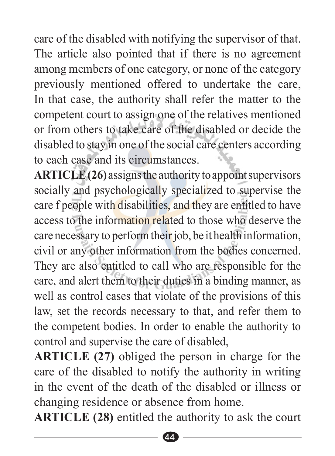. care of the disabled with notifying the supervisor of that. The article also pointed that if there is no agreement among members of one category, or none of the category previously mentioned offered to undertake the care, In that case, the authority shall refer the matter to the competent court to assign one of the relatives mentioned or from others to take care of the disabled or decide the disabled to stay in one of the social care centers according to each case and its circumstances

ARTICLE (26) assigns the authority to appoint supervisors socially and psychologically specialized to supervise the care f people with disabilities, and they are entitled to have access to the information related to those who deserve the care necessary to perform their job, be it health information, civil or any other information from the bodies concerned. They are also entitled to call who are responsible for the care, and a lert them to their duties in a binding manner, as well as control cases that violate of the provisions of this law, set the records necessary to that, and refer them to the competent bodies. In order to enable the authority to control and supervise the care of disabled.

ARTICLE (27) obliged the person in charge for the care of the disabled to notify the authority in writing in the event of the death of the disabled or illness or changing residence or absence from home.

**ARTICLE (28)** entitled the authority to ask the court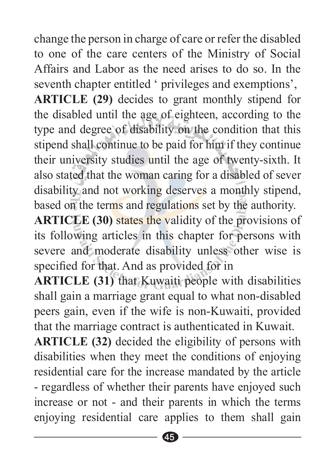change the person in charge of care or refer the disabled to one of the care centers of the Ministry of Social Affairs and Labor as the need arises to do so. In the seventh chapter entitled ' privileges and exemptions'. **ARTICLE (29)** decides to grant monthly stipend for the disabled until the age of eighteen, according to the type and degree of disability on the condition that this stipend shall continue to be paid for him if they continue their university studies until the age of twenty-sixth. It also stated that the woman caring for a disabled of sever disability and not working deserves a monthly stipend, based on the terms and regulations set by the authority.

ARTICLE (30) states the validity of the provisions of its following articles in this chapter for persons with severe and moderate disability unless other wise is specified for that. And as provided for in

**ARTICLE** (31) that Kuwaiti people with disabilities shall gain a marriage grant equal to what non-disabled peers gain, even if the wife is non-Kuwaiti, provided that the marriage contract is authenticated in Kuwait.

ARTICLE (32) decided the eligibility of persons with disabilities when they meet the conditions of enjoying residential care for the increase mandated by the article - regardless of whether their parents have enjoyed such increase or not - and their parents in which the terms enjoying residential care applies to them shall gain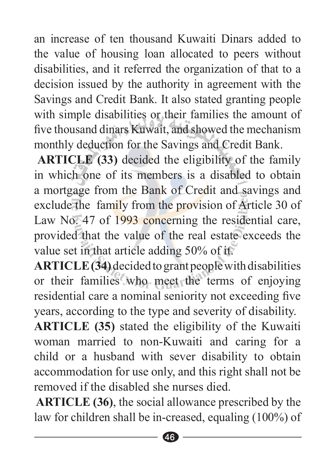an increase of ten thousand Kuwaiti Dinars added to the value of housing loan allocated to peers without disabilities, and it referred the organization of that to a decision issued by the authority in agreement with the Savings and Credit Bank. It also stated granting people with simple disabilities or their families the amount of five thousand dinars Kuwait, and showed the mechanism monthly deduction for the Savings and Credit Bank.

**ARTICLE** (33) decided the eligibility of the family in which one of its members is a disabled to obtain a mortgage from the Bank of Credit and savings and exclude the family from the provision of Article 30 of Law No. 47 of  $1993$  concerning the residential care, provided that the value of the real estate exceeds the value set in that article adding  $50\%$  of it.

**ARTICLE** (34) decided to grant people with disabilities or their families who meet the terms of enjoying residential care a nominal seniority not exceeding five vears, according to the type and severity of disability.

ARTICLE (35) stated the eligibility of the Kuwaiti woman married to non-Kuwaiti and caring for a child or a husband with sever disability to obtain accommodation for use only, and this right shall not be removed if the disabled she nurses died

**ARTICLE (36)**, the social allowance prescribed by the law for children shall be in-creased, equaling  $(100\%)$  of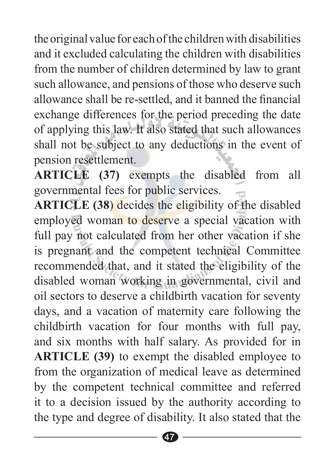the original value for each of the children with disabilities and it excluded calculating the children with disabilities from the number of children determined by law to grant such allowance, and pensions of those who deserve such allowance shall be re-settled, and it banned the financial exchange differences for the period preceding the date of applying this law. It also stated that such allowances shall not be subject to any deductions in the event of pension resettlement.

ARTICLE (37) exempts the disabled from all governmental fees for public services.

**ARTICLE** (38) decides the eligibility of the disabled employed woman to deserve a special vacation with full pay not calculated from her other vacation if she is pregnant and the competent technical Committee recommended that, and it stated the eligibility of the disabled woman working in governmental, civil and oil sectors to deserve a childbirth vacation for seventy days, and a vacation of maternity care following the childbirth vacation for four months with full pay, and six months with half salary. As provided for in ARTICLE (39) to exempt the disabled employee to from the organization of medical leave as determined by the competent technical committee and referred it to a decision issued by the authority according to the type and degree of disability. It also stated that the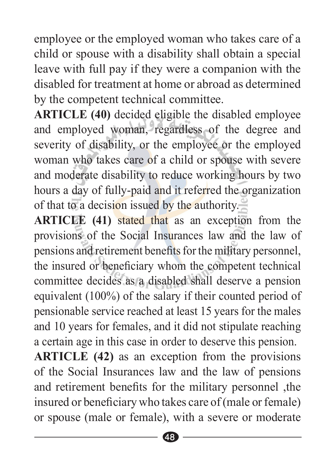employee or the employed woman who takes care of a child or spouse with a disability shall obtain a special leave with full pay if they were a companion with the disabled for treatment at home or abroad as determined by the competent technical committee.

ARTICLE (40) decided eligible the disabled employee and employed woman, regardless of the degree and severity of disability, or the employee or the employed woman who takes care of a child or spouse with severe and moderate disability to reduce working hours by two hours a day of fully-paid and it referred the organization of that to a decision issued by the authority.

**ARTICLE** (41) stated that as an exception from the provisions of the Social Insurances law and the law of pensions and retirement benefits for the military personnel. the insured or beneficiary whom the competent technical committee decides as a disabled shall deserve a pension equivalent  $(100\%)$  of the salary if their counted period of pensionable service reached at least 15 years for the males and 10 years for females, and it did not stipulate reaching a certain age in this case in order to deserve this pension.

ARTICLE (42) as an exception from the provisions of the Social Insurances law and the law of pensions and retirement benefits for the military personnel the insured or beneficiary who takes care of (male or female) or spouse (male or female), with a severe or moderate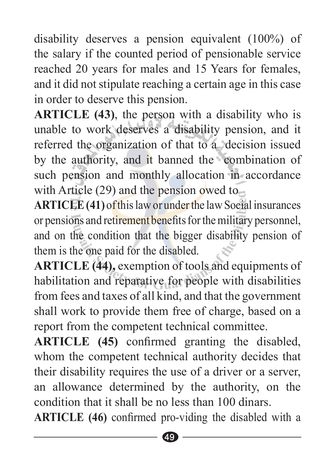disability deserves a pension equivalent  $(100\%)$  of the salary if the counted period of pensionable service reached 20 years for males and 15 Years for females. and it did not stipulate reaching a certain age in this case in order to deserve this pension.

**ARTICLE** (43), the person with a disability who is unable to work deserves a disability pension, and it referred the organization of that to a decision issued by the authority, and it banned the combination of such pension and monthly allocation in accordance with Article  $(29)$  and the pension owed to

ARTICLE (41) of this law or under the law Social insurances or pensions and retirement benefits for the military personnel. and on the condition that the bigger disability pension of them is the one paid for the disabled.

ARTICLE (44), exemption of tools and equipments of habilitation and reparative for people with disabilities from fees and taxes of all kind, and that the government shall work to provide them free of charge, based on a report from the competent technical committee.

ARTICLE (45) confirmed granting the disabled, whom the competent technical authority decides that their disability requires the use of a driver or a server, an allowance determined by the authority, on the condition that it shall be no less than 100 dinars

ARTICLE (46) confirmed pro-viding the disabled with a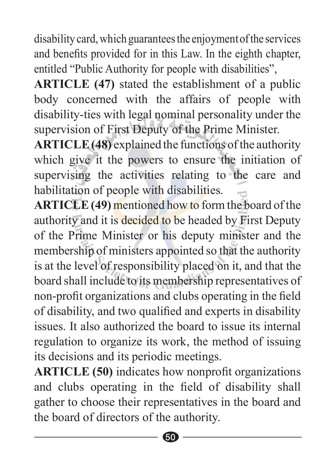disability card, which guarantees the enjoyment of the services and benefits provided for in this Law. In the eighth chapter, entitled "Public Authority for people with disabilities".

ARTICLE (47) stated the establishment of a public body concerned with the affairs of people with disability-ties with legal nominal personality under the supervision of First Deputy of the Prime Minister.

ARTICLE (48) explained the functions of the authority which give it the powers to ensure the initiation of supervising the activities relating to the care and habilitation of people with disabilities.

**ARTICLE** (49) mentioned how to form the board of the authority and it is decided to be headed by First Deputy of the Prime Minister or his deputy minister and the membership of ministers appointed so that the authority is at the level of responsibility placed on it, and that the board shall include to its membership representatives of non-profit organizations and clubs operating in the field of disability, and two qualified and experts in disability issues. It also authorized the board to issue its internal regulation to organize its work, the method of issuing its decisions and its periodic meetings.

ARTICLE (50) indicates how nonprofit organizations and clubs operating in the field of disability shall gather to choose their representatives in the board and the board of directors of the authority.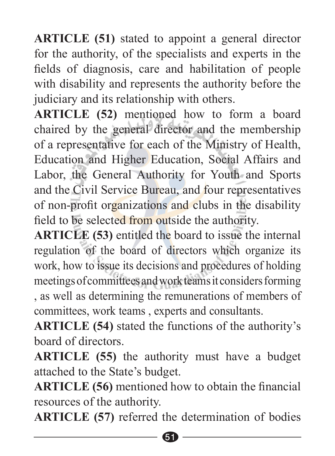**ARTICLE** (51) stated to appoint a general director for the authority, of the specialists and experts in the fields of diagnosis, care and habilitation of people with disability and represents the authority before the judiciary and its relationship with others.

ARTICLE (52) mentioned how to form a board chaired by the general director and the membership of a representative for each of the Ministry of Health, Education and Higher Education, Social Affairs and Labor, the General Authority for Youth and Sports and the Civil Service Bureau, and four representatives of non-profit organizations and clubs in the disability field to be selected from outside the authority.

ARTICLE (53) entitled the board to issue the internal regulation of the board of directors which organize its work, how to issue its decisions and procedures of holding meetings of committees and work teams it considers forming , as well as determining the remunerations of members of committees, work teams, experts and consultants.

**ARTICLE** (54) stated the functions of the authority's hoard of directors.

**ARTICLE** (55) the authority must have a budget attached to the State's budget.

**ARTICLE** (56) mentioned how to obtain the financial resources of the authority.

**ARTICLE** (57) referred the determination of bodies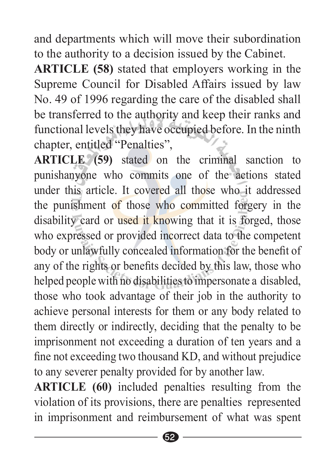and departments which will move their subordination to the authority to a decision issued by the Cabinet.

**ARTICLE** (58) stated that employers working in the Supreme Council for Disabled Affairs issued by law No. 49 of 1996 regarding the care of the disabled shall be transferred to the authority and keep their ranks and functional levels they have occupied before. In the ninth chapter, entitled "Penalties",

ARTICLE (59) stated on the criminal sanction to punishanyone who commits one of the actions stated under this article. It covered all those who it addressed the punishment of those who committed forgery in the disability card or used it knowing that it is forged, those who expressed or provided incorrect data to the competent body or unlawfully concealed information for the benefit of any of the rights or benefits decided by this law, those who helped people with no disabilities to impersonate a disabled, those who took advantage of their job in the authority to achieve personal interests for them or any body related to them directly or indirectly, deciding that the penalty to be imprisonment not exceeding a duration of ten years and a fine not exceeding two thousand KD, and without prejudice to any severer penalty provided for by another law.

ARTICLE (60) included penalties resulting from the violation of its provisions, there are penalties represented in imprisonment and reimbursement of what was spent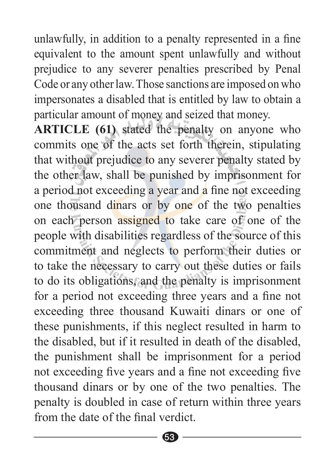unlawfully, in addition to a penalty represented in a fine equivalent to the amount spent unlawfully and without prejudice to any severer penalties prescribed by Penal Code or any other law. Those sanctions are imposed on who impersonates a disabled that is entitled by law to obtain a particular amount of money and seized that money.

ARTICLE (61) stated the penalty on anyone who commits one of the acts set forth therein, stipulating that without prejudice to any severer penalty stated by the other law, shall be punished by imprisonment for a period not exceeding a year and a fine not exceeding one thousand dinars or by one of the two penalties on each person assigned to take care of one of the people with disabilities regardless of the source of this commitment and neglects to perform their duties or to take the necessary to carry out these duties or fails to do its obligations, and the penalty is imprisonment for a period not exceeding three years and a fine not exceeding three thousand Kuwaiti dinars or one of these punishments, if this neglect resulted in harm to the disabled, but if it resulted in death of the disabled, the punishment shall be imprisonment for a period not exceeding five years and a fine not exceeding five thousand dinars or by one of the two penalties. The penalty is doubled in case of return within three years from the date of the final verdict.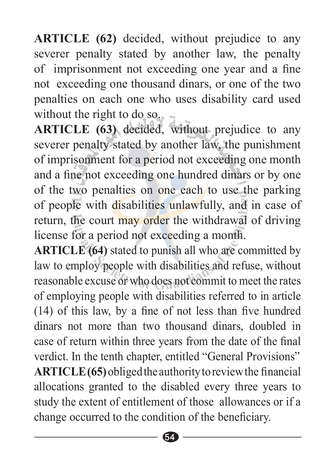**ARTICLE** (62) decided, without prejudice to any severer penalty stated by another law, the penalty of imprisonment not exceeding one year and a fine not exceeding one thousand dinars, or one of the two penalties on each one who uses disability card used without the right to do so.  $\sim$ 

ARTICLE (63) decided, without prejudice to any severer penalty stated by another law, the punishment of imprisonment for a period not exceeding one month and a fine not exceeding one hundred dinars or by one of the two penalties on one each to use the parking of people with disabilities unlawfully, and in case of return, the court may order the withdrawal of driving license for a period not exceeding a month.

**ARTICLE** (64) stated to punish all who are committed by law to employ people with disabilities and refuse, without reasonable excuse or who does not commit to meet the rates of employing people with disabilities referred to in article  $(14)$  of this law, by a fine of not less than five hundred dinars not more than two thousand dinars, doubled in case of return within three years from the date of the final verdict. In the tenth chapter, entitled "General Provisions" **ARTICLE** (65) obliged the authority to review the financial allocations granted to the disabled every three years to study the extent of entitlement of those allowances or if a change occurred to the condition of the beneficiary.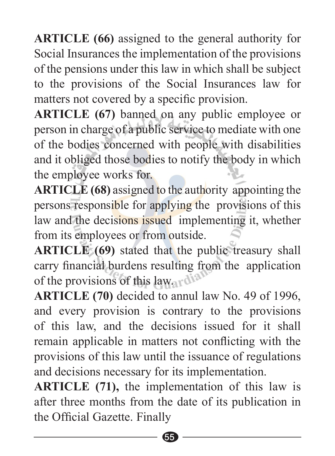**ARTICLE** (66) assigned to the general authority for Social Insurances the implementation of the provisions of the pensions under this law in which shall be subject to the provisions of the Social Insurances law for matters not covered by a specific provision.

ARTICLE (67) banned on any public employee or person in charge of a public service to mediate with one of the bodies concerned with people with disabilities and it obliged those bodies to notify the body in which the employee works for.

ARTICLE (68) assigned to the authority appointing the persons responsible for applying the provisions of this law and the decisions issued implementing it, whether from its employees or from outside.

ARTICLE (69) stated that the public treasury shall carry financial burdens resulting from the application of the provisions of this law.  $\mathbf{d}^{\mathbf{d}}$ 

**ARTICLE** (70) decided to annul law No. 49 of 1996, and every provision is contrary to the provisions of this law, and the decisions issued for it shall remain applicable in matters not conflicting with the provisions of this law until the issuance of regulations and decisions necessary for its implementation.

**ARTICLE** (71), the implementation of this law is after three months from the date of its publication in the Official Gazette. Finally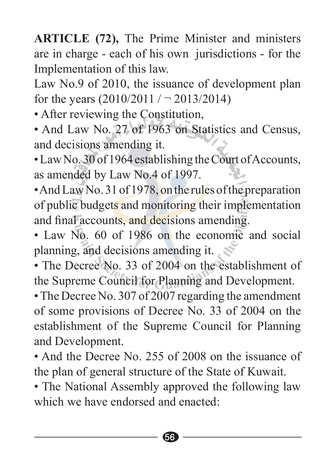**ARTICLE (72), The Prime Minister and ministers** are in charge - each of his own jurisdictions - for the Implementation of this law.

Law No.9 of 2010, the issuance of development plan for the years  $(2010/2011 / - 2013/2014)$ 

- After reviewing the Constitution,
- And Law No. 27 of 1963 on Statistics and Census, and decisions amending it.
- Law No. 30 of 1964 establishing the Court of Accounts, as amended by Law No.4 of 1997.
- And Law No. 31 of 1978, on the rules of the preparation of public budgets and monitoring their implementation and final accounts, and decisions amending.
- $\cdot$  Law No 60 of 1986 on the economic and social planning, and decisions amending it.
- The Decree No. 33 of 2004 on the establishment of the Supreme Council for Planning and Development.
- The Decree No. 307 of 2007 regarding the amendment of some provisions of Decree No. 33 of 2004 on the establishment of the Supreme Council for Planning and Development.
- And the Decree No. 255 of 2008 on the issuance of the plan of general structure of the State of Kuwait.
- The National Assembly approved the following law which we have endorsed and enacted: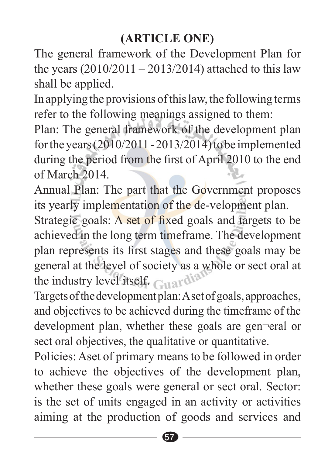The general framework of the Development Plan for the years  $(2010/2011 - 2013/2014)$  attached to this law shall be applied.

In applying the provisions of this law, the following terms refer to the following meanings assigned to them:

Plan: The general framework of the development plan for the years  $(2010/2011 - 2013/2014)$  to be implemented during the period from the first of April 2010 to the end  $of March 2014$ 

Annual Plan: The part that the Government proposes its yearly implementation of the de-velopment plan.

Strategic goals: A set of fixed goals and targets to be achieved in the long term timeframe. The development plan represents its first stages and these goals may be general at the level of society as a whole or sect oral at the industry level itself.  $C_{11}$  and  $\delta^{12}$ 

Targets of the development plan: A set of goals, approaches, and objectives to be achieved during the timeframe of the development plan, whether these goals are gen-eral or sect oral objectives, the qualitative or quantitative.

Policies: Aset of primary means to be followed in order to achieve the objectives of the development plan, whether these goals were general or sect oral. Sector: is the set of units engaged in an activity or activities aiming at the production of goods and services and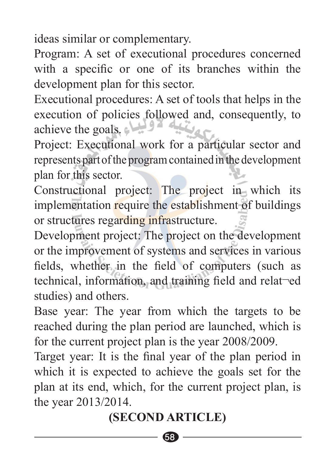ideas similar or complementary.

Program: A set of executional procedures concerned with a specific or one of its branches within the development plan for this sector.

Executional procedures: A set of tools that helps in the execution of policies followed and, consequently, to achieve the goals.  $\Box$   $9^2$ 

Project: Executional work for a particular sector and represents part of the program contained in the development plan for this sector.

Constructional project: The project in which its implementation require the establishment of buildings or structures regarding infrastructure.

Development project: The project on the development or the improvement of systems and services in various fields, whether in the field of computers (such as technical, information, and training field and relat-ed studies) and others.

Base year: The year from which the targets to be reached during the plan period are launched, which is for the current project plan is the year  $2008/2009$ .

Target year: It is the final year of the plan period in which it is expected to achieve the goals set for the plan at its end, which, for the current project plan, is the vear  $2013/2014$ .

#### **(SECOND ARTICLE)**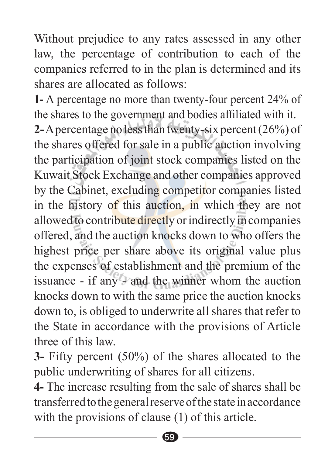Without prejudice to any rates assessed in any other law, the percentage of contribution to each of the companies referred to in the plan is determined and its shares are allocated as follows:

**1-** A percentage no more than twenty-four percent 24% of the shares to the government and bodies affiliated with it. 2-A percentage no less than twenty-six percent (26%) of the shares offered for sale in a public auction involving the participation of joint stock companies listed on the Kuwait Stock Exchange and other companies approved by the Cabinet, excluding competitor companies listed in the history of this auction, in which they are not allowed to contribute directly or indirectly in companies offered, and the auction knocks down to who offers the highest price per share above its original value plus the expenses of establishment and the premium of the issuance - if any - and the winner whom the auction knocks down to with the same price the auction knocks down to, is obliged to underwrite all shares that refer to the State in accordance with the provisions of Article three of this law.

**3-** Fifty percent (50%) of the shares allocated to the public underwriting of shares for all citizens.

**4-** The increase resulting from the sale of shares shall be transferred to the general reserve of the state in accordance with the provisions of clause  $(1)$  of this article.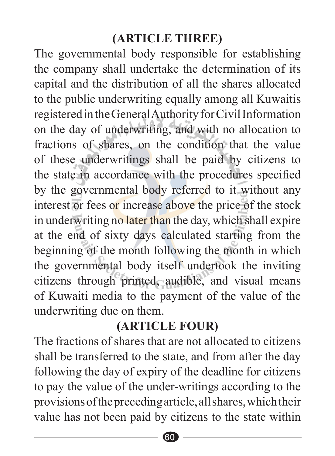#### **(ARTICLE THREE)**

The governmental body responsible for establishing the company shall undertake the determination of its capital and the distribution of all the shares allocated to the public underwriting equally among all Kuwaitis registered in the General Authority for Civil Information on the day of underwriting, and with no allocation to fractions of shares, on the condition that the value of these underwritings shall be paid by citizens to the state in accordance with the procedures specified by the governmental body referred to it without any interest or fees or increase above the price of the stock in underwriting no later than the day, which shall expire at the end of sixty days calculated starting from the beginning of the month following the month in which the governmental body itself undertook the inviting citizens through printed, audible, and visual means of Kuwaiti media to the payment of the value of the underwriting due on them.

#### **(ARTICLE FOUR)**

The fractions of shares that are not allocated to citizens shall be transferred to the state, and from after the day following the day of expiry of the deadline for citizens to pay the value of the under-writings according to the provisions of the preceding article, all shares, which their value has not been paid by citizens to the state within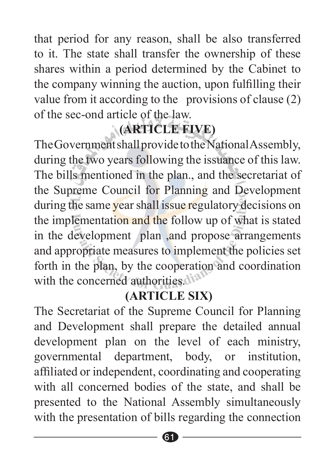that period for any reason, shall be also transferred to it. The state shall transfer the ownership of these shares within a period determined by the Cabinet to the company winning the auction, upon fulfilling their value from it according to the provisions of clause  $(2)$ of the sec-ond article of the law.

# **(ARTICLE FIVE)**

The Government shall provide to the National Assembly, during the two years following the issuance of this law. The bills mentioned in the plan,, and the secretariat of the Supreme Council for Planning and Development during the same year shall issue regulatory decisions on the implementation and the follow up of what is stated in the development plan, and propose arrangements and appropriate measures to implement the policies set forth in the plan, by the cooperation and coordination with the concerned authorities di<sup>2</sup>

#### **(ARTICLE SIX)**

The Secretariat of the Supreme Council for Planning and Development shall prepare the detailed annual development plan on the level of each ministry, governmental department, body, or institution, affiliated or independent, coordinating and cooperating with all concerned bodies of the state, and shall be presented to the National Assembly simultaneously with the presentation of bills regarding the connection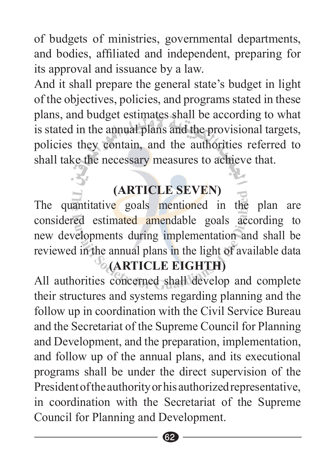of budgets of ministries, governmental departments, and bodies, affiliated and independent, preparing for its approval and issuance by a law.

And it shall prepare the general state's budget in light of the objectives, policies, and programs stated in these plans, and budget estimates shall be according to what is stated in the annual plans and the provisional targets, policies they contain, and the authorities referred to shall take the necessary measures to achieve that.

#### **(ARTICLE SEVEN)**

The quantitative goals mentioned in the plan are considered estimated amendable goals according to new developments during implementation and shall be reviewed in the annual plans in the light of available data

#### *CARTICLE EIGHTH*

All authorities concerned shall develop and complete their structures and systems regarding planning and the follow up in coordination with the Civil Service Bureau and the Secretariat of the Supreme Council for Planning and Development, and the preparation, implementation, and follow up of the annual plans, and its executional programs shall be under the direct supervision of the President of the authority or his authorized representative. in coordination with the Secretariat of the Supreme Council for Planning and Development.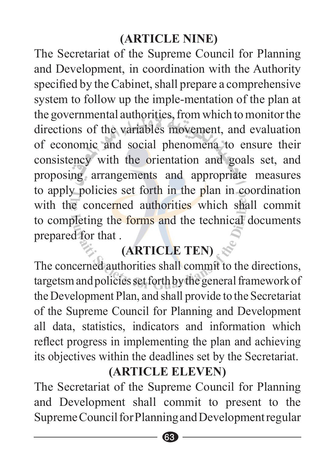#### **(ARTICLE NINE)**

The Secretariat of the Supreme Council for Planning and Development, in coordination with the Authority specified by the Cabinet, shall prepare a comprehensive system to follow up the imple-mentation of the plan at the governmental authorities, from which to monitor the directions of the variables movement, and evaluation of economic and social phenomena to ensure their consistency with the orientation and goals set, and proposing arrangements and appropriate measures to apply policies set forth in the plan in coordination with the concerned authorities which shall commit to completing the forms and the technical documents prepared for that.

# **(ARTICLE TEN)**

The concerned authorities shall commit to the directions, targetsm and policies set forth by the general framework of the Development Plan, and shall provide to the Secretariat of the Supreme Council for Planning and Development all data, statistics, indicators and information which reflect progress in implementing the plan and achieving its objectives within the deadlines set by the Secretariat.

#### **(ARTICLE ELEVEN)**

The Secretariat of the Supreme Council for Planning and Development shall commit to present to the Supreme Council for Planning and Development regular